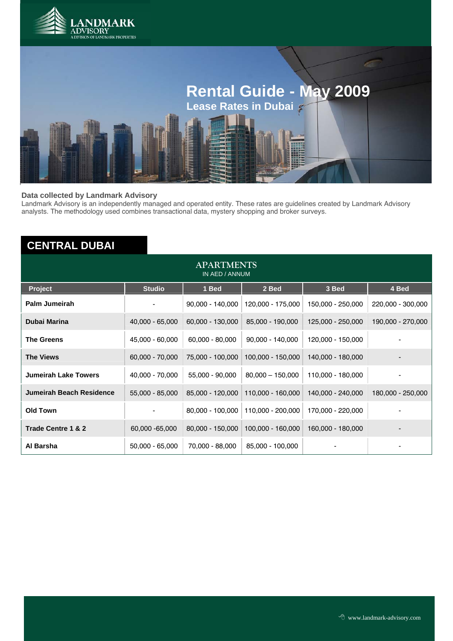



#### **Data collected by Landmark Advisory**

Landmark Advisory is an independently managed and operated entity. These rates are guidelines created by Landmark Advisory analysts. The methodology used combines transactional data, mystery shopping and broker surveys.

# **CENTRAL DUBAI**

| <b>APARTMENTS</b><br>IN AED / ANNUM |                   |                    |                    |                   |                   |  |  |
|-------------------------------------|-------------------|--------------------|--------------------|-------------------|-------------------|--|--|
| <b>Project</b>                      | <b>Studio</b>     | 1 Bed              | 2 Bed              | 3 Bed             | 4 Bed             |  |  |
| Palm Jumeirah                       |                   | $90,000 - 140,000$ | 120,000 - 175,000  | 150,000 - 250,000 | 220,000 - 300,000 |  |  |
| <b>Dubai Marina</b>                 | $40,000 - 65,000$ | 60,000 - 130,000   | 85,000 - 190,000   | 125,000 - 250,000 | 190,000 - 270,000 |  |  |
| <b>The Greens</b>                   | 45,000 - 60,000   | $60,000 - 80,000$  | $90,000 - 140,000$ | 120,000 - 150,000 |                   |  |  |
| <b>The Views</b>                    | 60,000 - 70,000   | 75,000 - 100,000   | 100,000 - 150,000  | 140,000 - 180,000 |                   |  |  |
| <b>Jumeirah Lake Towers</b>         | 40,000 - 70,000   | 55,000 - 90,000    | $80,000 - 150,000$ | 110,000 - 180,000 |                   |  |  |
| Jumeirah Beach Residence            | 55,000 - 85,000   | 85,000 - 120,000   | 110,000 - 160,000  | 140,000 - 240,000 | 180,000 - 250,000 |  |  |
| <b>Old Town</b>                     |                   | 80,000 - 100,000   | 110,000 - 200,000  | 170,000 - 220,000 |                   |  |  |
| Trade Centre 1 & 2                  | 60,000 - 65,000   | 80,000 - 150,000   | 100,000 - 160,000  | 160,000 - 180,000 |                   |  |  |
| Al Barsha                           | $50,000 - 65,000$ | 70,000 - 88,000    | 85,000 - 100,000   |                   |                   |  |  |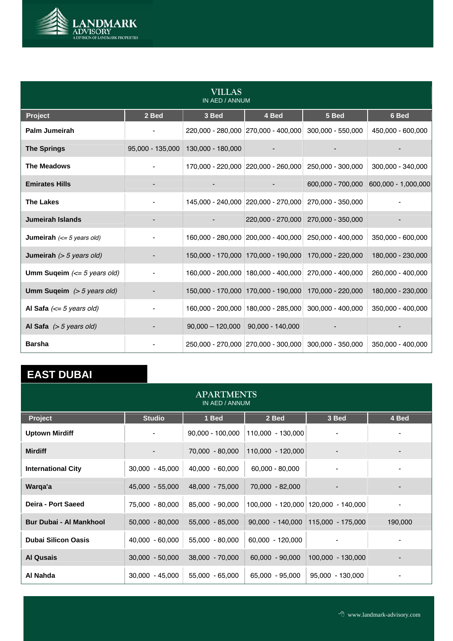

| VILLAS<br>IN AED / ANNUM                                  |                  |                                       |                                       |                   |                     |  |  |
|-----------------------------------------------------------|------------------|---------------------------------------|---------------------------------------|-------------------|---------------------|--|--|
| Project                                                   | 2 Bed            | 3 Bed                                 | 4 Bed                                 | 5 Bed             | 6 Bed               |  |  |
| Palm Jumeirah                                             |                  | 220,000 - 280,000 270,000 - 400,000   |                                       | 300,000 - 550,000 | 450,000 - 600,000   |  |  |
| <b>The Springs</b>                                        | 95,000 - 135,000 | 130,000 - 180,000                     |                                       |                   |                     |  |  |
| The Meadows                                               |                  | 170,000 - 220,000 220,000 - 260,000   |                                       | 250,000 - 300,000 | 300,000 - 340,000   |  |  |
| <b>Emirates Hills</b>                                     |                  |                                       |                                       | 600,000 - 700,000 | 600,000 - 1,000,000 |  |  |
| <b>The Lakes</b>                                          |                  |                                       | 145,000 - 240,000 220,000 - 270,000   | 270,000 - 350,000 |                     |  |  |
| <b>Jumeirah Islands</b>                                   |                  |                                       | 220,000 - 270,000                     | 270,000 - 350,000 |                     |  |  |
| <b>Jumeirah</b> $\left(\leq 5 \text{ years old}\right)$   |                  |                                       | 160,000 - 280,000 200,000 - 400,000   | 250,000 - 400,000 | 350,000 - 600,000   |  |  |
| <b>Jumeirah</b> $(> 5 \text{ years old})$                 |                  |                                       | 150,000 - 170,000 170,000 - 190,000   | 170,000 - 220,000 | 180,000 - 230,000   |  |  |
| <b>Umm Sugeim</b> $\left(\leq 5 \text{ years old}\right)$ |                  |                                       | 160,000 - 200,000   180,000 - 400,000 | 270,000 - 400,000 | 260,000 - 400,000   |  |  |
| Umm Suqeim $(> 5 \text{ years old})$                      |                  |                                       | 150,000 - 170,000 170,000 - 190,000   | 170,000 - 220,000 | 180,000 - 230,000   |  |  |
| Al Safa $\left(\leq 5 \text{ years old}\right)$           |                  |                                       | 160,000 - 200,000   180,000 - 285,000 | 300,000 - 400,000 | 350,000 - 400,000   |  |  |
| Al Safa $(> 5$ years old)                                 |                  | $90,000 - 120,000$   90,000 - 140,000 |                                       |                   |                     |  |  |
| <b>Barsha</b>                                             |                  |                                       | 250,000 - 270,000 270,000 - 300,000   | 300,000 - 350,000 | 350,000 - 400,000   |  |  |

# **EAST DUBAI**

| <b>APARTMENTS</b><br>IN AED / ANNUM |                   |                    |                   |                                        |         |  |  |
|-------------------------------------|-------------------|--------------------|-------------------|----------------------------------------|---------|--|--|
| <b>Project</b>                      | <b>Studio</b>     | 1 Bed              | 2 Bed             | 3 Bed                                  | 4 Bed   |  |  |
| <b>Uptown Mirdiff</b>               |                   | $90,000 - 100,000$ | 110,000 - 130,000 |                                        |         |  |  |
| <b>Mirdiff</b>                      |                   | 70,000 - 80,000    | 110,000 - 120,000 |                                        |         |  |  |
| <b>International City</b>           | $30,000 - 45,000$ | 40,000 - 60,000    | $60,000 - 80,000$ | $\overline{\phantom{a}}$               |         |  |  |
| Warga'a                             | 45,000 - 55,000   | 48,000 - 75,000    | 70,000 - 82,000   | $\overline{\phantom{0}}$               |         |  |  |
| Deira - Port Saeed                  | 75,000 - 80,000   | 85,000 - 90,000    |                   | $100,000 - 120,000$ 120,000 - 140,000  |         |  |  |
| <b>Bur Dubai - Al Mankhool</b>      | $50,000 - 80,000$ | 55,000 - 85,000    |                   | $90,000 - 140,000$   115,000 - 175,000 | 190,000 |  |  |
| <b>Dubai Silicon Oasis</b>          | 40,000 - 60,000   | 55,000 - 80,000    | 60,000 - 120,000  |                                        |         |  |  |
| <b>Al Qusais</b>                    | $30,000 - 50,000$ | 38,000 - 70,000    | 60,000 - 90,000   | 100,000 - 130,000                      |         |  |  |
| Al Nahda                            | $30,000 - 45,000$ | 55,000 - 65,000    | 65,000 - 95,000   | 95,000 - 130,000                       |         |  |  |